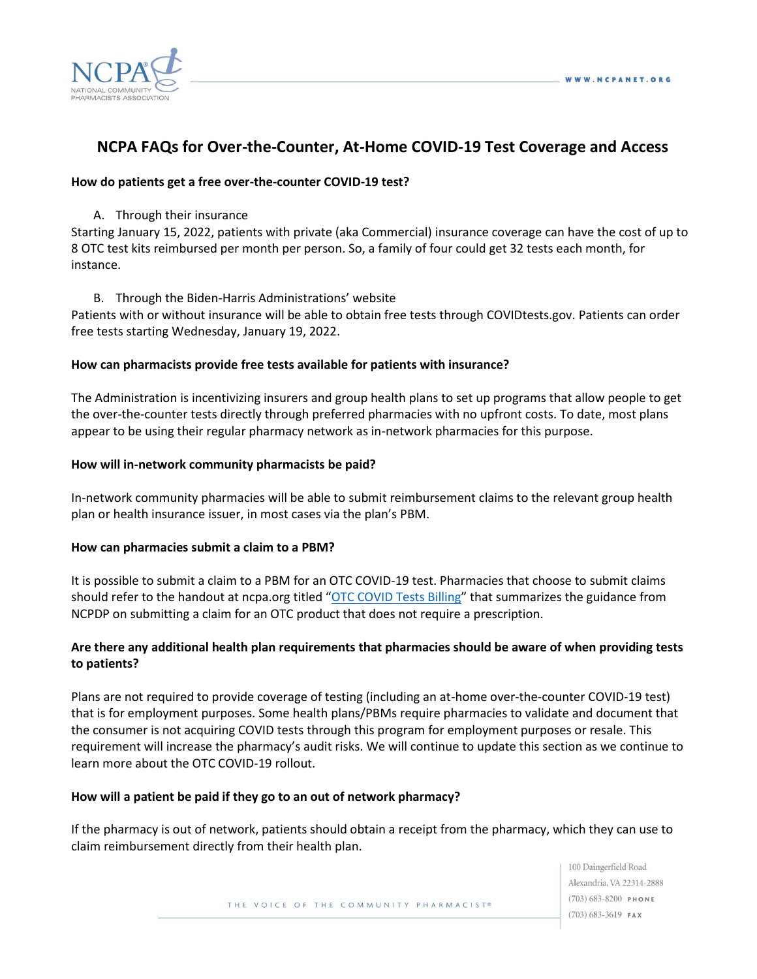

# **NCPA FAQs for Over-the-Counter, At-Home COVID-19 Test Coverage and Access**

#### **How do patients get a free over-the-counter COVID-19 test?**

A. Through their insurance

Starting January 15, 2022, patients with private (aka Commercial) insurance coverage can have the cost of up to 8 OTC test kits reimbursed per month per person. So, a family of four could get 32 tests each month, for instance.

B. Through the Biden-Harris Administrations' website

Patients with or without insurance will be able to obtain free tests through COVIDtests.gov. Patients can order free tests starting Wednesday, January 19, 2022.

#### **How can pharmacists provide free tests available for patients with insurance?**

The Administration is incentivizing insurers and group health plans to set up programs that allow people to get the over-the-counter tests directly through preferred pharmacies with no upfront costs. To date, most plans appear to be using their regular pharmacy network as in-network pharmacies for this purpose.

#### **How will in-network community pharmacists be paid?**

In-network community pharmacies will be able to submit reimbursement claims to the relevant group health plan or health insurance issuer, in most cases via the plan's PBM.

#### **How can pharmacies submit a claim to a PBM?**

It is possible to submit a claim to a PBM for an OTC COVID-19 test. Pharmacies that choose to submit claims should refer to the handout at ncpa.org titled "[OTC COVID Tests Billing](https://ncpa.org/sites/default/files/2022-01/OTC-COVID-19-tests-billing-for-NCPA-members-01142022.pdf)" that summarizes the guidance from NCPDP on submitting a claim for an OTC product that does not require a prescription.

# **Are there any additional health plan requirements that pharmacies should be aware of when providing tests to patients?**

Plans are not required to provide coverage of testing (including an at-home over-the-counter COVID-19 test) that is for employment purposes. Some health plans/PBMs require pharmacies to validate and document that the consumer is not acquiring COVID tests through this program for employment purposes or resale. This requirement will increase the pharmacy's audit risks. We will continue to update this section as we continue to learn more about the OTC COVID-19 rollout.

#### **How will a patient be paid if they go to an out of network pharmacy?**

If the pharmacy is out of network, patients should obtain a receipt from the pharmacy, which they can use to claim reimbursement directly from their health plan.

THE VOICE OF THE COMMUNITY PHARMACIST®

100 Daingerfield Road Alexandria, VA 22314-2888  $(703) 683 - 8200$  PHONE  $(703) 683 - 3619$  FAX